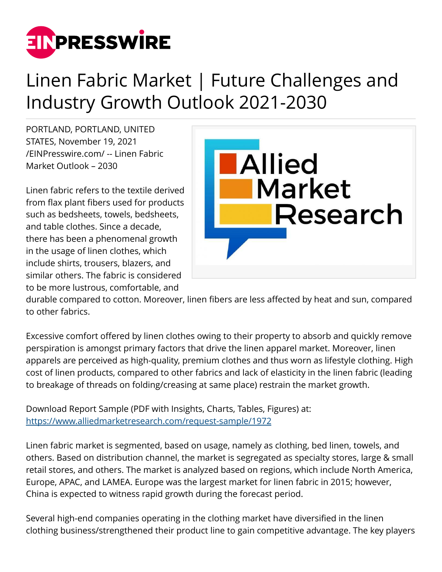

## Linen Fabric Market | Future Challenges and Industry Growth Outlook 2021-2030

PORTLAND, PORTLAND, UNITED STATES, November 19, 2021 [/EINPresswire.com/](http://www.einpresswire.com) -- Linen Fabric Market Outlook – 2030

Linen fabric refers to the textile derived from flax plant fibers used for products such as bedsheets, towels, bedsheets, and table clothes. Since a decade, there has been a phenomenal growth in the usage of linen clothes, which include shirts, trousers, blazers, and similar others. The fabric is considered to be more lustrous, comfortable, and



durable compared to cotton. Moreover, linen fibers are less affected by heat and sun, compared to other fabrics.

Excessive comfort offered by linen clothes owing to their property to absorb and quickly remove perspiration is amongst primary factors that drive the linen apparel market. Moreover, linen apparels are perceived as high-quality, premium clothes and thus worn as lifestyle clothing. High cost of linen products, compared to other fabrics and lack of elasticity in the linen fabric (leading to breakage of threads on folding/creasing at same place) restrain the market growth.

Download Report Sample (PDF with Insights, Charts, Tables, Figures) at: <https://www.alliedmarketresearch.com/request-sample/1972>

Linen fabric market is segmented, based on usage, namely as clothing, bed linen, towels, and others. Based on distribution channel, the market is segregated as specialty stores, large & small retail stores, and others. The market is analyzed based on regions, which include North America, Europe, APAC, and LAMEA. Europe was the largest market for linen fabric in 2015; however, China is expected to witness rapid growth during the forecast period.

Several high-end companies operating in the clothing market have diversified in the linen clothing business/strengthened their product line to gain competitive advantage. The key players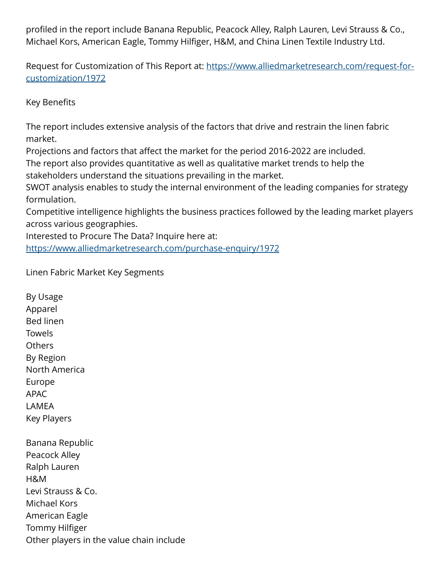profiled in the report include Banana Republic, Peacock Alley, Ralph Lauren, Levi Strauss & Co., Michael Kors, American Eagle, Tommy Hilfiger, H&M, and China Linen Textile Industry Ltd.

Request for Customization of This Report at: [https://www.alliedmarketresearch.com/request-for](https://www.alliedmarketresearch.com/request-for-customization/1972)[customization/1972](https://www.alliedmarketresearch.com/request-for-customization/1972)

Key Benefits

By Usage

The report includes extensive analysis of the factors that drive and restrain the linen fabric market.

Projections and factors that affect the market for the period 2016-2022 are included. The report also provides quantitative as well as qualitative market trends to help the stakeholders understand the situations prevailing in the market.

SWOT analysis enables to study the internal environment of the leading companies for strategy formulation.

Competitive intelligence highlights the business practices followed by the leading market players across various geographies.

Interested to Procure The Data? Inquire here at: <https://www.alliedmarketresearch.com/purchase-enquiry/1972>

Linen Fabric Market Key Segments

Apparel Bed linen **Towels Others** By Region North America Europe APAC LAMEA Key Players Banana Republic Peacock Alley Ralph Lauren H&M Levi Strauss & Co. Michael Kors American Eagle Tommy Hilfiger Other players in the value chain include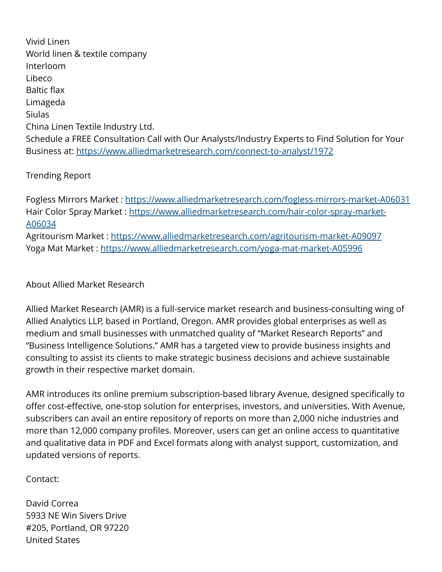Vivid Linen World linen & textile company Interloom Libeco Baltic flax Limageda Siulas China Linen Textile Industry Ltd. Schedule a FREE Consultation Call with Our Analysts/Industry Experts to Find Solution for Your Business at: <https://www.alliedmarketresearch.com/connect-to-analyst/1972>

## Trending Report

Fogless Mirrors Market : <https://www.alliedmarketresearch.com/fogless-mirrors-market-A06031> Hair Color Spray Market : [https://www.alliedmarketresearch.com/hair-color-spray-market-](https://www.alliedmarketresearch.com/hair-color-spray-market-A06034)[A06034](https://www.alliedmarketresearch.com/hair-color-spray-market-A06034)

Agritourism Market : <https://www.alliedmarketresearch.com/agritourism-market-A09097> Yoga Mat Market :<https://www.alliedmarketresearch.com/yoga-mat-market-A05996>

About Allied Market Research

Allied Market Research (AMR) is a full-service market research and business-consulting wing of Allied Analytics LLP, based in Portland, Oregon. AMR provides global enterprises as well as medium and small businesses with unmatched quality of "Market Research Reports" and "Business Intelligence Solutions." AMR has a targeted view to provide business insights and consulting to assist its clients to make strategic business decisions and achieve sustainable growth in their respective market domain.

AMR introduces its online premium subscription-based library Avenue, designed specifically to offer cost-effective, one-stop solution for enterprises, investors, and universities. With Avenue, subscribers can avail an entire repository of reports on more than 2,000 niche industries and more than 12,000 company profiles. Moreover, users can get an online access to quantitative and qualitative data in PDF and Excel formats along with analyst support, customization, and updated versions of reports.

Contact:

David Correa 5933 NE Win Sivers Drive #205, Portland, OR 97220 United States